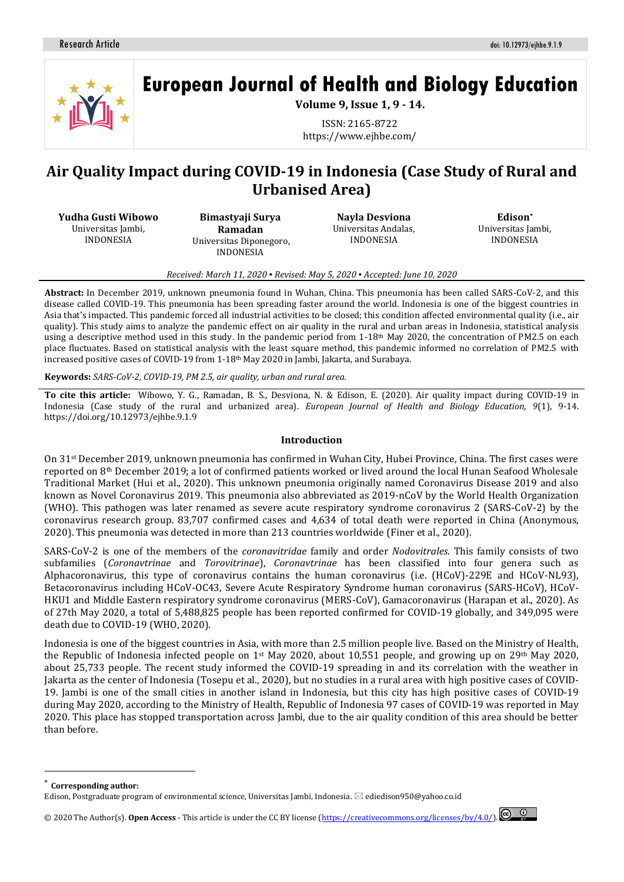

# **European Journal of Health and Biology Education**

**Volume 9, Issue 1, 9 - 14.**

ISSN: 2165-8722 https://www.ejhbe.com/

# **Air Quality Impact during COVID-19 in Indonesia (Case Study of Rural and Urbanised Area)**

**Yudha Gusti Wibowo** Universitas Jambi, INDONESIA

**Bimastyaji Surya Ramadan** Universitas Diponegoro, INDONESIA

**Nayla Desviona** Universitas Andalas, INDONESIA

**Edison\*** Universitas Jambi, INDONESIA

*Received: March 11, 2020 ▪ Revised: May 5, 2020 ▪ Accepted: June 10, 2020*

**Abstract:** In December 2019, unknown pneumonia found in Wuhan, China. This pneumonia has been called SARS-CoV-2, and this disease called COVID-19. This pneumonia has been spreading faster around the world. Indonesia is one of the biggest countries in Asia that's impacted. This pandemic forced all industrial activities to be closed; this condition affected environmental quality (i.e., air quality). This study aims to analyze the pandemic effect on air quality in the rural and urban areas in Indonesia, statistical analysis using a descriptive method used in this study. In the pandemic period from 1-18<sup>th</sup> May 2020, the concentration of PM2.5 on each place fluctuates. Based on statistical analysis with the least square method, this pandemic informed no correlation of PM2.5 with increased positive cases of COVID-19 from 1-18th May 2020 in Jambi, Jakarta, and Surabaya.

**Keywords:** *SARS-CoV-2, COVID-19, PM 2.5, air quality, urban and rural area.*

**To cite this article:** Wibowo, Y. G., Ramadan, B. S., Desviona, N. & Edison, E. (2020). Air quality impact during COVID-19 in Indonesia (Case study of the rural and urbanized area). *European Journal of Health and Biology Education*, *9*(1), 9-14. https://doi.org/10.12973/ejhbe.9.1.9

## **Introduction**

On 31st December 2019, unknown pneumonia has confirmed in Wuhan City, Hubei Province, China. The first cases were reported on 8th December 2019; a lot of confirmed patients worked or lived around the local Hunan Seafood Wholesale Traditional Market (Hui et al., 2020). This unknown pneumonia originally named Coronavirus Disease 2019 and also known as Novel Coronavirus 2019. This pneumonia also abbreviated as 2019-nCoV by the World Health Organization (WHO). This pathogen was later renamed as severe acute respiratory syndrome coronavirus 2 (SARS-CoV-2) by the coronavirus research group. 83,707 confirmed cases and 4,634 of total death were reported in China (Anonymous, 2020). This pneumonia was detected in more than 213 countries worldwide (Finer et al., 2020).

SARS-CoV-2 is one of the members of the *coronavitridae* family and order *Nodovitrales*. This family consists of two subfamilies (*Coronavtrinae* and *Torovitrinae*), *Coronavtrinae* has been classified into four genera such as Alphacoronavirus, this type of coronavirus contains the human coronavirus (i.e. (HCoV)-229E and HCoV-NL93), Betacoronavirus including HCoV-OC43, Severe Acute Respiratory Syndrome human coronavirus (SARS-HCoV), HCoV-HKU1 and Middle Eastern respiratory syndrome coronavirus (MERS-CoV), Gamacoronavirus (Harapan et al., 2020). As of 27th May 2020, a total of 5,488,825 people has been reported confirmed for COVID-19 globally, and 349,095 were death due to COVID-19 (WHO, 2020).

Indonesia is one of the biggest countries in Asia, with more than 2.5 million people live. Based on the Ministry of Health, the Republic of Indonesia infected people on 1<sup>st</sup> May 2020, about 10,551 people, and growing up on 29<sup>th</sup> May 2020, about 25,733 people. The recent study informed the COVID-19 spreading in and its correlation with the weather in Jakarta as the center of Indonesia (Tosepu et al., 2020), but no studies in a rural area with high positive cases of COVID-19. Jambi is one of the small cities in another island in Indonesia, but this city has high positive cases of COVID-19 during May 2020, according to the Ministry of Health, Republic of Indonesia 97 cases of COVID-19 was reported in May 2020. This place has stopped transportation across Jambi, due to the air quality condition of this area should be better than before.

 $\overline{a}$ 



**Corresponding author:** 

Edison, Postgraduate program of environmental science, Universitas Jambi, Indonesia. ⊠ ediedison950@yahoo.co.id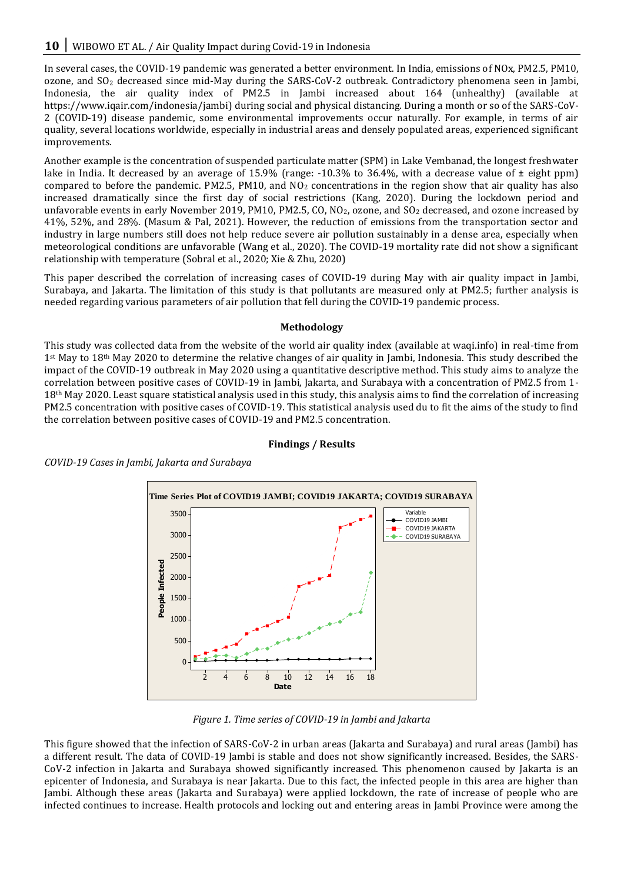In several cases, the COVID-19 pandemic was generated a better environment. In India, emissions of NOx, PM2.5, PM10, ozone, and SO<sup>2</sup> decreased since mid-May during the SARS-CoV-2 outbreak. Contradictory phenomena seen in Jambi, Indonesia, the air quality index of PM2.5 in Jambi increased about 164 (unhealthy) (available at https://www.iqair.com/indonesia/jambi) during social and physical distancing. During a month or so of the SARS-CoV-2 (COVID-19) disease pandemic, some environmental improvements occur naturally. For example, in terms of air quality, several locations worldwide, especially in industrial areas and densely populated areas, experienced significant improvements.

Another example is the concentration of suspended particulate matter (SPM) in Lake Vembanad, the longest freshwater lake in India. It decreased by an average of 15.9% (range:  $-10.3\%$  to 36.4%, with a decrease value of  $\pm$  eight ppm) compared to before the pandemic. PM2.5, PM10, and  $NQ_2$  concentrations in the region show that air quality has also increased dramatically since the first day of social restrictions (Kang, 2020). During the lockdown period and unfavorable events in early November 2019, PM10, PM2.5, CO, NO2, ozone, and SO<sup>2</sup> decreased, and ozone increased by 41%, 52%, and 28%. (Masum & Pal, 2021). However, the reduction of emissions from the transportation sector and industry in large numbers still does not help reduce severe air pollution sustainably in a dense area, especially when meteorological conditions are unfavorable (Wang et al., 2020). The COVID-19 mortality rate did not show a significant relationship with temperature (Sobral et al., 2020; Xie & Zhu, 2020)

This paper described the correlation of increasing cases of COVID-19 during May with air quality impact in Jambi, Surabaya, and Jakarta. The limitation of this study is that pollutants are measured only at PM2.5; further analysis is needed regarding various parameters of air pollution that fell during the COVID-19 pandemic process.

# **Methodology**

This study was collected data from the website of the world air quality index (available at waqi.info) in real-time from 1st May to 18th May 2020 to determine the relative changes of air quality in Jambi, Indonesia. This study described the impact of the COVID-19 outbreak in May 2020 using a quantitative descriptive method. This study aims to analyze the correlation between positive cases of COVID-19 in Jambi, Jakarta, and Surabaya with a concentration of PM2.5 from 1- 18<sup>th</sup> May 2020. Least square statistical analysis used in this study, this analysis aims to find the correlation of increasing PM2.5 concentration with positive cases of COVID-19. This statistical analysis used du to fit the aims of the study to find the correlation between positive cases of COVID-19 and PM2.5 concentration.

# **Findings / Results**

*COVID-19 Cases in Jambi, Jakarta and Surabaya*



*Figure 1. Time series of COVID-19 in Jambi and Jakarta*

This figure showed that the infection of SARS-CoV-2 in urban areas (Jakarta and Surabaya) and rural areas (Jambi) has a different result. The data of COVID-19 Jambi is stable and does not show significantly increased. Besides, the SARS-CoV-2 infection in Jakarta and Surabaya showed significantly increased. This phenomenon caused by Jakarta is an epicenter of Indonesia, and Surabaya is near Jakarta. Due to this fact, the infected people in this area are higher than Jambi. Although these areas (Jakarta and Surabaya) were applied lockdown, the rate of increase of people who are infected continues to increase. Health protocols and locking out and entering areas in Jambi Province were among the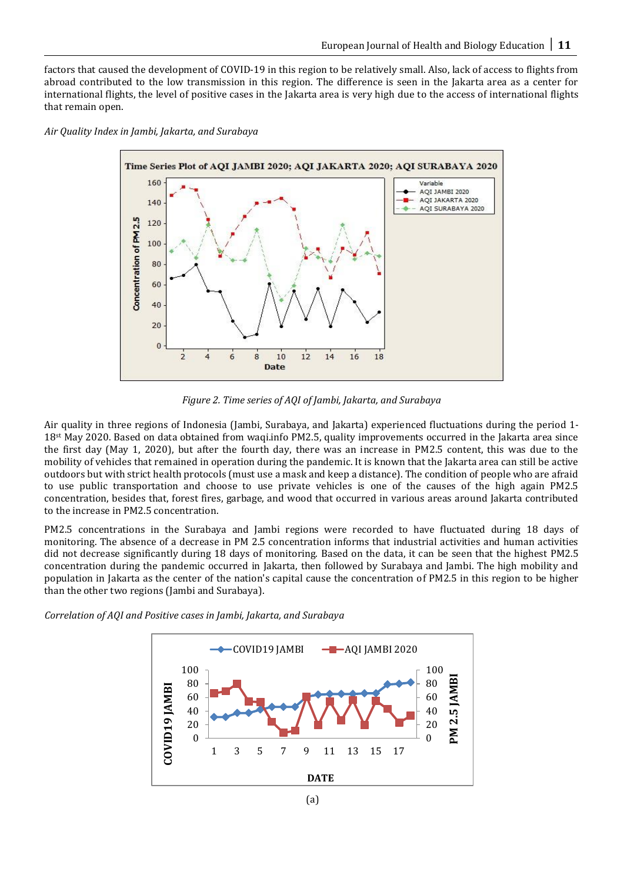factors that caused the development of COVID-19 in this region to be relatively small. Also, lack of access to flights from abroad contributed to the low transmission in this region. The difference is seen in the Jakarta area as a center for international flights, the level of positive cases in the Jakarta area is very high due to the access of international flights that remain open.





*Figure 2. Time series of AQI of Jambi, Jakarta, and Surabaya*

Air quality in three regions of Indonesia (Jambi, Surabaya, and Jakarta) experienced fluctuations during the period 1- 18st May 2020. Based on data obtained from waqi.info PM2.5, quality improvements occurred in the Jakarta area since the first day (May 1, 2020), but after the fourth day, there was an increase in PM2.5 content, this was due to the mobility of vehicles that remained in operation during the pandemic. It is known that the Jakarta area can still be active outdoors but with strict health protocols (must use a mask and keep a distance). The condition of people who are afraid to use public transportation and choose to use private vehicles is one of the causes of the high again PM2.5 concentration, besides that, forest fires, garbage, and wood that occurred in various areas around Jakarta contributed to the increase in PM2.5 concentration.

PM2.5 concentrations in the Surabaya and Jambi regions were recorded to have fluctuated during 18 days of monitoring. The absence of a decrease in PM 2.5 concentration informs that industrial activities and human activities did not decrease significantly during 18 days of monitoring. Based on the data, it can be seen that the highest PM2.5 concentration during the pandemic occurred in Jakarta, then followed by Surabaya and Jambi. The high mobility and population in Jakarta as the center of the nation's capital cause the concentration of PM2.5 in this region to be higher than the other two regions (Jambi and Surabaya).

*Correlation of AQI and Positive cases in Jambi, Jakarta, and Surabaya*

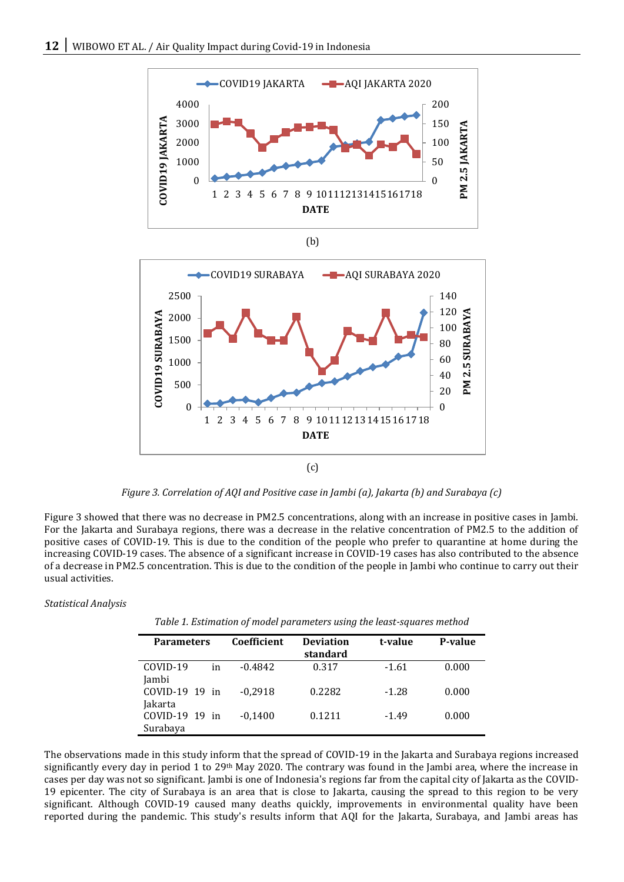

(b)



*Figure 3. Correlation of AQI and Positive case in Jambi (a), Jakarta (b) and Surabaya (c)*

Figure 3 showed that there was no decrease in PM2.5 concentrations, along with an increase in positive cases in Jambi. For the Jakarta and Surabaya regions, there was a decrease in the relative concentration of PM2.5 to the addition of positive cases of COVID-19. This is due to the condition of the people who prefer to quarantine at home during the increasing COVID-19 cases. The absence of a significant increase in COVID-19 cases has also contributed to the absence of a decrease in PM2.5 concentration. This is due to the condition of the people in Jambi who continue to carry out their usual activities.

# *Statistical Analysis*

| Table 1. Estimation of model parameters using the least-squares method |  |  |
|------------------------------------------------------------------------|--|--|
|------------------------------------------------------------------------|--|--|

| <b>Parameters</b>             | Coefficient | <b>Deviation</b><br>standard | t-value | P-value |
|-------------------------------|-------------|------------------------------|---------|---------|
| COVID-19<br>in<br>Jambi       | $-0.4842$   | 0.317                        | $-1.61$ | 0.000   |
| $COVID-19$ 19 in<br>Jakarta   | $-0.2918$   | 0.2282                       | $-1.28$ | 0.000   |
| COVID-19 19<br>in<br>Surabaya | $-0.1400$   | 0.1211                       | $-1.49$ | 0.000   |

The observations made in this study inform that the spread of COVID-19 in the Jakarta and Surabaya regions increased significantly every day in period 1 to 29<sup>th</sup> May 2020. The contrary was found in the Jambi area, where the increase in cases per day was not so significant. Jambi is one of Indonesia's regions far from the capital city of Jakarta as the COVID-19 epicenter. The city of Surabaya is an area that is close to Jakarta, causing the spread to this region to be very significant. Although COVID-19 caused many deaths quickly, improvements in environmental quality have been reported during the pandemic. This study's results inform that AQI for the Jakarta, Surabaya, and Jambi areas has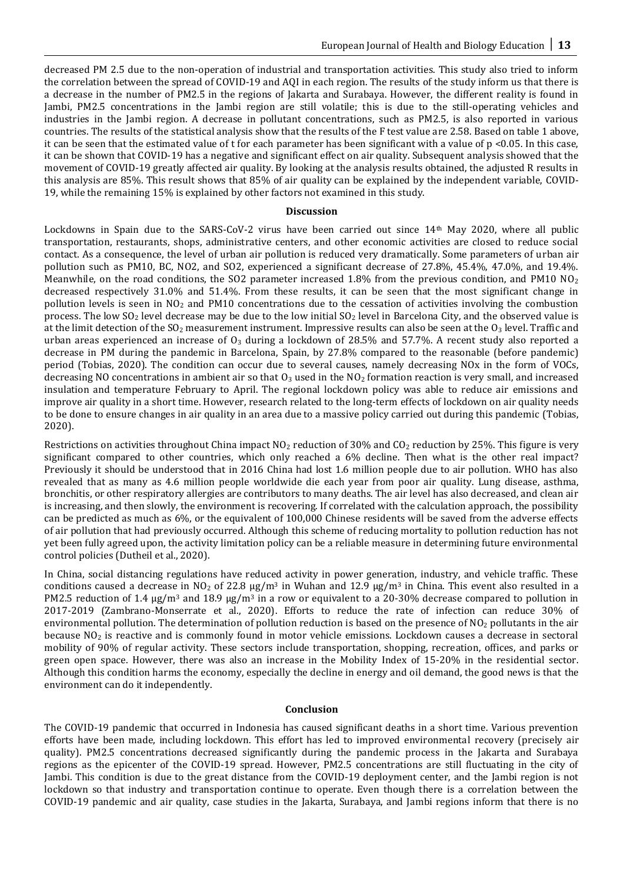decreased PM 2.5 due to the non-operation of industrial and transportation activities. This study also tried to inform the correlation between the spread of COVID-19 and AQI in each region. The results of the study inform us that there is a decrease in the number of PM2.5 in the regions of Jakarta and Surabaya. However, the different reality is found in Jambi, PM2.5 concentrations in the Jambi region are still volatile; this is due to the still-operating vehicles and industries in the Jambi region. A decrease in pollutant concentrations, such as PM2.5, is also reported in various countries. The results of the statistical analysis show that the results of the F test value are 2.58. Based on table 1 above, it can be seen that the estimated value of t for each parameter has been significant with a value of p <0.05. In this case, it can be shown that COVID-19 has a negative and significant effect on air quality. Subsequent analysis showed that the movement of COVID-19 greatly affected air quality. By looking at the analysis results obtained, the adjusted R results in this analysis are 85%. This result shows that 85% of air quality can be explained by the independent variable, COVID-19, while the remaining 15% is explained by other factors not examined in this study.

#### **Discussion**

Lockdowns in Spain due to the SARS-CoV-2 virus have been carried out since 14th May 2020, where all public transportation, restaurants, shops, administrative centers, and other economic activities are closed to reduce social contact. As a consequence, the level of urban air pollution is reduced very dramatically. Some parameters of urban air pollution such as PM10, BC, NO2, and SO2, experienced a significant decrease of 27.8%, 45.4%, 47.0%, and 19.4%. Meanwhile, on the road conditions, the SO2 parameter increased 1.8% from the previous condition, and PM10 NO<sub>2</sub> decreased respectively 31.0% and 51.4%. From these results, it can be seen that the most significant change in pollution levels is seen in  $NO<sub>2</sub>$  and PM10 concentrations due to the cessation of activities involving the combustion process. The low  $SO_2$  level decrease may be due to the low initial  $SO_2$  level in Barcelona City, and the observed value is at the limit detection of the  $SO_2$  measurement instrument. Impressive results can also be seen at the  $O_3$  level. Traffic and urban areas experienced an increase of O<sup>3</sup> during a lockdown of 28.5% and 57.7%. A recent study also reported a decrease in PM during the pandemic in Barcelona, Spain, by 27.8% compared to the reasonable (before pandemic) period (Tobias, 2020). The condition can occur due to several causes, namely decreasing NOx in the form of VOCs, decreasing NO concentrations in ambient air so that  $O_3$  used in the NO<sub>2</sub> formation reaction is very small, and increased insulation and temperature February to April. The regional lockdown policy was able to reduce air emissions and improve air quality in a short time. However, research related to the long-term effects of lockdown on air quality needs to be done to ensure changes in air quality in an area due to a massive policy carried out during this pandemic (Tobias, 2020).

Restrictions on activities throughout China impact NO<sub>2</sub> reduction of 30% and CO<sub>2</sub> reduction by 25%. This figure is very significant compared to other countries, which only reached a 6% decline. Then what is the other real impact? Previously it should be understood that in 2016 China had lost 1.6 million people due to air pollution. WHO has also revealed that as many as 4.6 million people worldwide die each year from poor air quality. Lung disease, asthma, bronchitis, or other respiratory allergies are contributors to many deaths. The air level has also decreased, and clean air is increasing, and then slowly, the environment is recovering. If correlated with the calculation approach, the possibility can be predicted as much as 6%, or the equivalent of 100,000 Chinese residents will be saved from the adverse effects of air pollution that had previously occurred. Although this scheme of reducing mortality to pollution reduction has not yet been fully agreed upon, the activity limitation policy can be a reliable measure in determining future environmental control policies (Dutheil et al., 2020).

In China, social distancing regulations have reduced activity in power generation, industry, and vehicle traffic. These conditions caused a decrease in NO<sub>2</sub> of 22.8  $\mu$ g/m<sup>3</sup> in Wuhan and 12.9  $\mu$ g/m<sup>3</sup> in China. This event also resulted in a PM2.5 reduction of 1.4 μg/m<sup>3</sup> and 18.9 μg/m<sup>3</sup> in a row or equivalent to a 20-30% decrease compared to pollution in 2017-2019 (Zambrano-Monserrate et al., 2020). Efforts to reduce the rate of infection can reduce 30% of environmental pollution. The determination of pollution reduction is based on the presence of NO<sub>2</sub> pollutants in the air because NO<sup>2</sup> is reactive and is commonly found in motor vehicle emissions. Lockdown causes a decrease in sectoral mobility of 90% of regular activity. These sectors include transportation, shopping, recreation, offices, and parks or green open space. However, there was also an increase in the Mobility Index of 15-20% in the residential sector. Although this condition harms the economy, especially the decline in energy and oil demand, the good news is that the environment can do it independently.

#### **Conclusion**

The COVID-19 pandemic that occurred in Indonesia has caused significant deaths in a short time. Various prevention efforts have been made, including lockdown. This effort has led to improved environmental recovery (precisely air quality). PM2.5 concentrations decreased significantly during the pandemic process in the Jakarta and Surabaya regions as the epicenter of the COVID-19 spread. However, PM2.5 concentrations are still fluctuating in the city of Jambi. This condition is due to the great distance from the COVID-19 deployment center, and the Jambi region is not lockdown so that industry and transportation continue to operate. Even though there is a correlation between the COVID-19 pandemic and air quality, case studies in the Jakarta, Surabaya, and Jambi regions inform that there is no